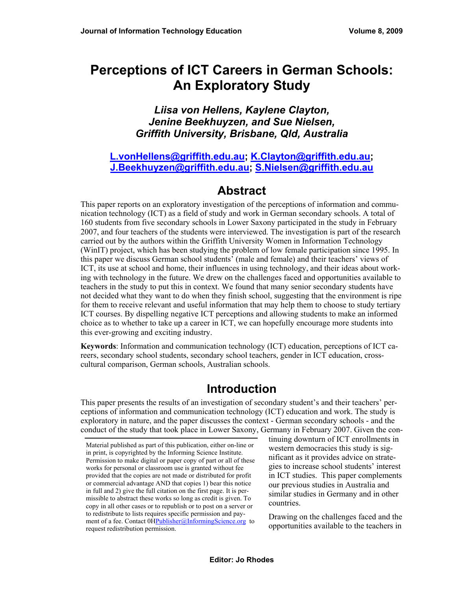# **Perceptions of ICT Careers in German Schools: An Exploratory Study**

#### *Liisa von Hellens, Kaylene Clayton, Jenine Beekhuyzen, and Sue Nielsen, Griffith University, Brisbane, Qld, Australia*

#### **[L.vonHellens@griffith.edu.au](mailto:L.vonHellens@griffith.edu.au); [K.Clayton@griffith.edu.au](mailto:K.Clayton@griffith.edu.au); [J.Beekhuyzen@griffith.edu.au](mailto:J.Beekhuyzen@griffith.edu.au); [S.Nielsen@griffith.edu.au](mailto:S.Nielsen@griffith.edu.au)**

## **Abstract**

This paper reports on an exploratory investigation of the perceptions of information and communication technology (ICT) as a field of study and work in German secondary schools. A total of 160 students from five secondary schools in Lower Saxony participated in the study in February 2007, and four teachers of the students were interviewed. The investigation is part of the research carried out by the authors within the Griffith University Women in Information Technology (WinIT) project, which has been studying the problem of low female participation since 1995. In this paper we discuss German school students' (male and female) and their teachers' views of ICT, its use at school and home, their influences in using technology, and their ideas about working with technology in the future. We drew on the challenges faced and opportunities available to teachers in the study to put this in context. We found that many senior secondary students have not decided what they want to do when they finish school, suggesting that the environment is ripe for them to receive relevant and useful information that may help them to choose to study tertiary ICT courses. By dispelling negative ICT perceptions and allowing students to make an informed choice as to whether to take up a career in ICT, we can hopefully encourage more students into this ever-growing and exciting industry.

**Keywords**: Information and communication technology (ICT) education, perceptions of ICT careers, secondary school students, secondary school teachers, gender in ICT education, crosscultural comparison, German schools, Australian schools.

# **Introduction**

This paper presents the results of an investigation of secondary student's and their teachers' perceptions of information and communication technology (ICT) education and work. The study is exploratory in nature, and the paper discusses the context - German secondary schools - and the conduct of the study that took place in Lower Saxony, Germany in February 2007. Given the con-

tinuing downturn of ICT enrollments in western democracies this study is significant as it provides advice on strategies to increase school students' interest in ICT studies. This paper complements our previous studies in Australia and similar studies in Germany and in other countries.

Drawing on the challenges faced and the opportunities available to the teachers in

Material published as part of this publication, either on-line or in print, is copyrighted by the Informing Science Institute. Permission to make digital or paper copy of part or all of these works for personal or classroom use is granted without fee provided that the copies are not made or distributed for profit or commercial advantage AND that copies 1) bear this notice in full and 2) give the full citation on the first page. It is permissible to abstract these works so long as credit is given. To copy in all other cases or to republish or to post on a server or to redistribute to lists requires specific permission and payment of a fee. Contact  $\overline{OHPublisher@InformingScience.org}$  to request redistribution permission.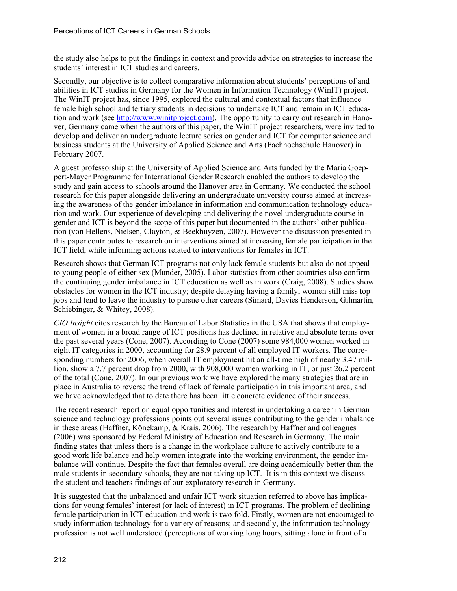the study also helps to put the findings in context and provide advice on strategies to increase the students' interest in ICT studies and careers.

Secondly, our objective is to collect comparative information about students' perceptions of and abilities in ICT studies in Germany for the Women in Information Technology (WinIT) project. The WinIT project has, since 1995, explored the cultural and contextual factors that influence female high school and tertiary students in decisions to undertake ICT and remain in ICT education and work (see [http://www.winitproject.com\)](http://www.winitproject.com/). The opportunity to carry out research in Hanover, Germany came when the authors of this paper, the WinIT project researchers, were invited to develop and deliver an undergraduate lecture series on gender and ICT for computer science and business students at the University of Applied Science and Arts (Fachhochschule Hanover) in February 2007.

A guest professorship at the University of Applied Science and Arts funded by the Maria Goeppert-Mayer Programme for International Gender Research enabled the authors to develop the study and gain access to schools around the Hanover area in Germany. We conducted the school research for this paper alongside delivering an undergraduate university course aimed at increasing the awareness of the gender imbalance in information and communication technology education and work. Our experience of developing and delivering the novel undergraduate course in gender and ICT is beyond the scope of this paper but documented in the authors' other publication (von Hellens, Nielsen, Clayton, & Beekhuyzen, 2007). However the discussion presented in this paper contributes to research on interventions aimed at increasing female participation in the ICT field, while informing actions related to interventions for females in ICT.

Research shows that German ICT programs not only lack female students but also do not appeal to young people of either sex (Munder, 2005). Labor statistics from other countries also confirm the continuing gender imbalance in ICT education as well as in work (Craig, 2008). Studies show obstacles for women in the ICT industry; despite delaying having a family, women still miss top jobs and tend to leave the industry to pursue other careers (Simard, Davies Henderson, Gilmartin, Schiebinger, & Whitey, 2008).

*CIO Insight* cites research by the Bureau of Labor Statistics in the USA that shows that employment of women in a broad range of ICT positions has declined in relative and absolute terms over the past several years (Cone, 2007). According to Cone (2007) some 984,000 women worked in eight IT categories in 2000, accounting for 28.9 percent of all employed IT workers. The corresponding numbers for 2006, when overall IT employment hit an all-time high of nearly 3.47 million, show a 7.7 percent drop from 2000, with 908,000 women working in IT, or just 26.2 percent of the total (Cone, 2007). In our previous work we have explored the many strategies that are in place in Australia to reverse the trend of lack of female participation in this important area, and we have acknowledged that to date there has been little concrete evidence of their success.

The recent research report on equal opportunities and interest in undertaking a career in German science and technology professions points out several issues contributing to the gender imbalance in these areas (Haffner, Könekamp, & Krais, 2006). The research by Haffner and colleagues (2006) was sponsored by Federal Ministry of Education and Research in Germany. The main finding states that unless there is a change in the workplace culture to actively contribute to a good work life balance and help women integrate into the working environment, the gender imbalance will continue. Despite the fact that females overall are doing academically better than the male students in secondary schools, they are not taking up ICT. It is in this context we discuss the student and teachers findings of our exploratory research in Germany.

It is suggested that the unbalanced and unfair ICT work situation referred to above has implications for young females' interest (or lack of interest) in ICT programs. The problem of declining female participation in ICT education and work is two fold. Firstly, women are not encouraged to study information technology for a variety of reasons; and secondly, the information technology profession is not well understood (perceptions of working long hours, sitting alone in front of a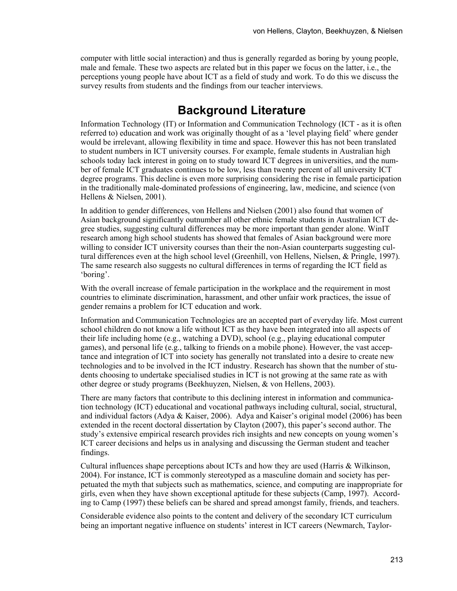computer with little social interaction) and thus is generally regarded as boring by young people, male and female. These two aspects are related but in this paper we focus on the latter, i.e., the perceptions young people have about ICT as a field of study and work. To do this we discuss the survey results from students and the findings from our teacher interviews.

### **Background Literature**

Information Technology (IT) or Information and Communication Technology (ICT - as it is often referred to) education and work was originally thought of as a 'level playing field' where gender would be irrelevant, allowing flexibility in time and space. However this has not been translated to student numbers in ICT university courses. For example, female students in Australian high schools today lack interest in going on to study toward ICT degrees in universities, and the number of female ICT graduates continues to be low, less than twenty percent of all university ICT degree programs. This decline is even more surprising considering the rise in female participation in the traditionally male-dominated professions of engineering, law, medicine, and science (von Hellens & Nielsen, 2001).

In addition to gender differences, von Hellens and Nielsen (2001) also found that women of Asian background significantly outnumber all other ethnic female students in Australian ICT degree studies, suggesting cultural differences may be more important than gender alone. WinIT research among high school students has showed that females of Asian background were more willing to consider ICT university courses than their the non-Asian counterparts suggesting cultural differences even at the high school level (Greenhill, von Hellens, Nielsen, & Pringle, 1997). The same research also suggests no cultural differences in terms of regarding the ICT field as 'boring'.

With the overall increase of female participation in the workplace and the requirement in most countries to eliminate discrimination, harassment, and other unfair work practices, the issue of gender remains a problem for ICT education and work.

Information and Communication Technologies are an accepted part of everyday life. Most current school children do not know a life without ICT as they have been integrated into all aspects of their life including home (e.g., watching a DVD), school (e.g., playing educational computer games), and personal life (e.g., talking to friends on a mobile phone). However, the vast acceptance and integration of ICT into society has generally not translated into a desire to create new technologies and to be involved in the ICT industry. Research has shown that the number of students choosing to undertake specialised studies in ICT is not growing at the same rate as with other degree or study programs (Beekhuyzen, Nielsen, & von Hellens, 2003).

There are many factors that contribute to this declining interest in information and communication technology (ICT) educational and vocational pathways including cultural, social, structural, and individual factors (Adya & Kaiser, 2006). Adya and Kaiser's original model (2006) has been extended in the recent doctoral dissertation by Clayton (2007), this paper's second author. The study's extensive empirical research provides rich insights and new concepts on young women's ICT career decisions and helps us in analysing and discussing the German student and teacher findings.

Cultural influences shape perceptions about ICTs and how they are used (Harris & Wilkinson, 2004). For instance, ICT is commonly stereotyped as a masculine domain and society has perpetuated the myth that subjects such as mathematics, science, and computing are inappropriate for girls, even when they have shown exceptional aptitude for these subjects (Camp, 1997). According to Camp (1997) these beliefs can be shared and spread amongst family, friends, and teachers.

Considerable evidence also points to the content and delivery of the secondary ICT curriculum being an important negative influence on students' interest in ICT careers (Newmarch, Taylor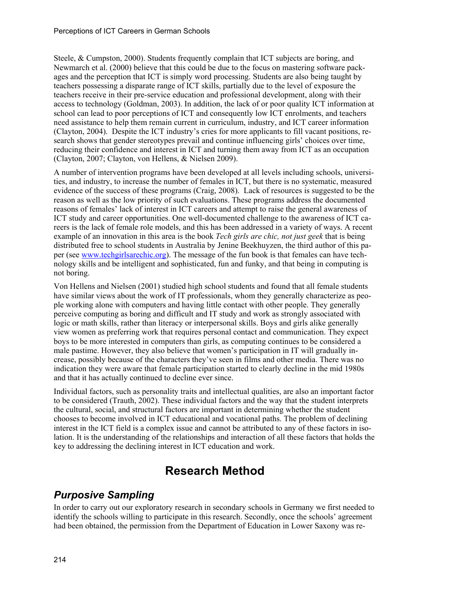Steele, & Cumpston, 2000). Students frequently complain that ICT subjects are boring, and Newmarch et al. (2000) believe that this could be due to the focus on mastering software packages and the perception that ICT is simply word processing. Students are also being taught by teachers possessing a disparate range of ICT skills, partially due to the level of exposure the teachers receive in their pre-service education and professional development, along with their access to technology (Goldman, 2003). In addition, the lack of or poor quality ICT information at school can lead to poor perceptions of ICT and consequently low ICT enrolments, and teachers need assistance to help them remain current in curriculum, industry, and ICT career information (Clayton, 2004). Despite the ICT industry's cries for more applicants to fill vacant positions, research shows that gender stereotypes prevail and continue influencing girls' choices over time, reducing their confidence and interest in ICT and turning them away from ICT as an occupation (Clayton, 2007; Clayton, von Hellens, & Nielsen 2009).

A number of intervention programs have been developed at all levels including schools, universities, and industry, to increase the number of females in ICT, but there is no systematic, measured evidence of the success of these programs (Craig, 2008). Lack of resources is suggested to be the reason as well as the low priority of such evaluations. These programs address the documented reasons of females' lack of interest in ICT careers and attempt to raise the general awareness of ICT study and career opportunities. One well-documented challenge to the awareness of ICT careers is the lack of female role models, and this has been addressed in a variety of ways. A recent example of an innovation in this area is the book *Tech girls are chic, not just geek* that is being distributed free to school students in Australia by Jenine Beekhuyzen, the third author of this paper (see [www.techgirlsarechic.org\)](http://www.techgirlsarechic.org/). The message of the fun book is that females can have technology skills and be intelligent and sophisticated, fun and funky, and that being in computing is not boring.

Von Hellens and Nielsen (2001) studied high school students and found that all female students have similar views about the work of IT professionals, whom they generally characterize as people working alone with computers and having little contact with other people. They generally perceive computing as boring and difficult and IT study and work as strongly associated with logic or math skills, rather than literacy or interpersonal skills. Boys and girls alike generally view women as preferring work that requires personal contact and communication. They expect boys to be more interested in computers than girls, as computing continues to be considered a male pastime. However, they also believe that women's participation in IT will gradually increase, possibly because of the characters they've seen in films and other media. There was no indication they were aware that female participation started to clearly decline in the mid 1980s and that it has actually continued to decline ever since.

Individual factors, such as personality traits and intellectual qualities, are also an important factor to be considered (Trauth, 2002). These individual factors and the way that the student interprets the cultural, social, and structural factors are important in determining whether the student chooses to become involved in ICT educational and vocational paths. The problem of declining interest in the ICT field is a complex issue and cannot be attributed to any of these factors in isolation. It is the understanding of the relationships and interaction of all these factors that holds the key to addressing the declining interest in ICT education and work.

# **Research Method**

#### *Purposive Sampling*

In order to carry out our exploratory research in secondary schools in Germany we first needed to identify the schools willing to participate in this research. Secondly, once the schools' agreement had been obtained, the permission from the Department of Education in Lower Saxony was re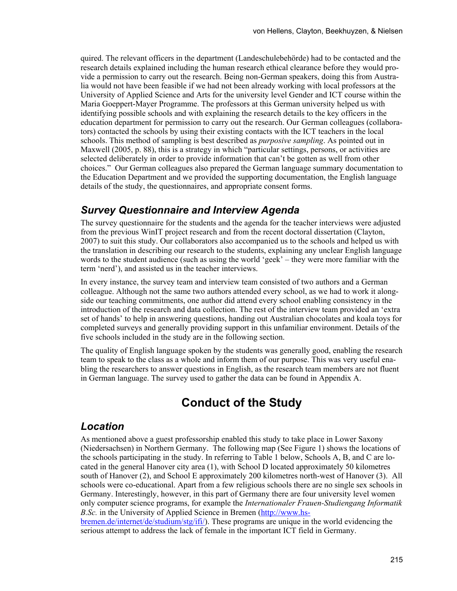quired. The relevant officers in the department (Landeschulebehörde) had to be contacted and the research details explained including the human research ethical clearance before they would provide a permission to carry out the research. Being non-German speakers, doing this from Australia would not have been feasible if we had not been already working with local professors at the University of Applied Science and Arts for the university level Gender and ICT course within the Maria Goeppert-Mayer Programme. The professors at this German university helped us with identifying possible schools and with explaining the research details to the key officers in the education department for permission to carry out the research. Our German colleagues (collaborators) contacted the schools by using their existing contacts with the ICT teachers in the local schools. This method of sampling is best described as *purposive sampling*. As pointed out in Maxwell (2005, p. 88), this is a strategy in which "particular settings, persons, or activities are selected deliberately in order to provide information that can't be gotten as well from other choices." Our German colleagues also prepared the German language summary documentation to the Education Department and we provided the supporting documentation, the English language details of the study, the questionnaires, and appropriate consent forms.

#### *Survey Questionnaire and Interview Agenda*

The survey questionnaire for the students and the agenda for the teacher interviews were adjusted from the previous WinIT project research and from the recent doctoral dissertation (Clayton, 2007) to suit this study. Our collaborators also accompanied us to the schools and helped us with the translation in describing our research to the students, explaining any unclear English language words to the student audience (such as using the world 'geek' – they were more familiar with the term 'nerd'), and assisted us in the teacher interviews.

In every instance, the survey team and interview team consisted of two authors and a German colleague. Although not the same two authors attended every school, as we had to work it alongside our teaching commitments, one author did attend every school enabling consistency in the introduction of the research and data collection. The rest of the interview team provided an 'extra set of hands' to help in answering questions, handing out Australian chocolates and koala toys for completed surveys and generally providing support in this unfamiliar environment. Details of the five schools included in the study are in the following section.

The quality of English language spoken by the students was generally good, enabling the research team to speak to the class as a whole and inform them of our purpose. This was very useful enabling the researchers to answer questions in English, as the research team members are not fluent in German language. The survey used to gather the data can be found in Appendix A.

# **Conduct of the Study**

#### *Location*

As mentioned above a guest professorship enabled this study to take place in Lower Saxony (Niedersachsen) in Northern Germany. The following map (See [Figure 1](#page-5-0)) shows the locations of the schools participating in the study. In referring to [Table 1](#page-5-1) below, Schools A, B, and C are located in the general Hanover city area (1), with School D located approximately 50 kilometres south of Hanover (2), and School E approximately 200 kilometres north-west of Hanover (3). All schools were co-educational. Apart from a few religious schools there are no single sex schools in Germany. Interestingly, however, in this part of Germany there are four university level women only computer science programs, for example the *Internationaler Frauen-Studiengang Informatik B.Sc.* in the University of Applied Science in Bremen ([http://www.hs-](http://www.hs-bremen.de/internet/de/studium/stg/ifi/)

[bremen.de/internet/de/studium/stg/ifi/](http://www.hs-bremen.de/internet/de/studium/stg/ifi/)). These programs are unique in the world evidencing the serious attempt to address the lack of female in the important ICT field in Germany.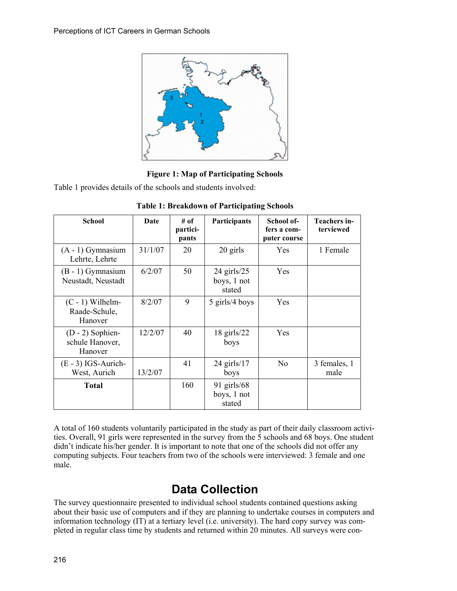

**Figure 1: Map of Participating Schools** 

<span id="page-5-0"></span>Table 1 provides details of the schools and students involved:

<span id="page-5-1"></span>

| <b>School</b>                                    | Date    | # of<br>partici-<br>pants | Participants                              | School of-<br>fers a com-<br>puter course | Teachers in-<br>terviewed |
|--------------------------------------------------|---------|---------------------------|-------------------------------------------|-------------------------------------------|---------------------------|
| $(A - 1)$ Gymnasium<br>Lehrte, Lehrte            | 31/1/07 | 20                        | 20 girls                                  | <b>Yes</b>                                | 1 Female                  |
| $(B - 1)$ Gymnasium<br>Neustadt, Neustadt        | 6/2/07  | 50                        | $24$ girls/ $25$<br>boys, 1 not<br>stated | <b>Yes</b>                                |                           |
| $(C - 1)$ Wilhelm-<br>Raade-Schule,<br>Hanover   | 8/2/07  | 9                         | 5 girls/4 boys                            | Yes                                       |                           |
| $(D - 2)$ Sophien-<br>schule Hanover,<br>Hanover | 12/2/07 | 40                        | $18$ girls/ $22$<br>boys                  | <b>Yes</b>                                |                           |
| $(E - 3)$ IGS-Aurich-<br>West, Aurich            | 13/2/07 | 41                        | $24$ girls/17<br>boys                     | No                                        | 3 females, 1<br>male      |
| <b>Total</b>                                     |         | 160                       | $91$ girls/68<br>boys, 1 not<br>stated    |                                           |                           |

**Table 1: Breakdown of Participating Schools** 

A total of 160 students voluntarily participated in the study as part of their daily classroom activities. Overall, 91 girls were represented in the survey from the 5 schools and 68 boys. One student didn't indicate his/her gender. It is important to note that one of the schools did not offer any computing subjects. Four teachers from two of the schools were interviewed: 3 female and one male.

# **Data Collection**

The survey questionnaire presented to individual school students contained questions asking about their basic use of computers and if they are planning to undertake courses in computers and information technology (IT) at a tertiary level (i.e. university). The hard copy survey was completed in regular class time by students and returned within 20 minutes. All surveys were con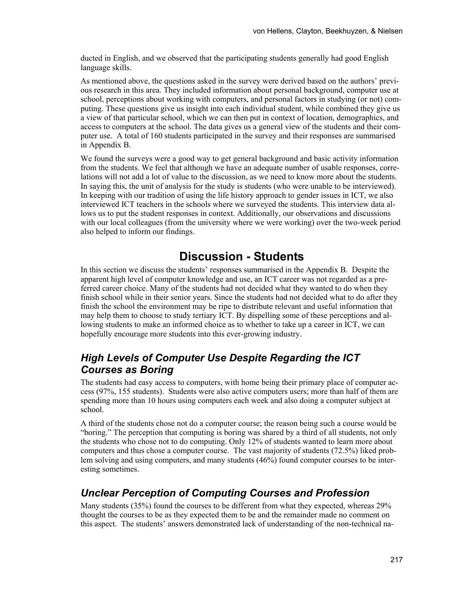ducted in English, and we observed that the participating students generally had good English language skills.

As mentioned above, the questions asked in the survey were derived based on the authors' previous research in this area. They included information about personal background, computer use at school, perceptions about working with computers, and personal factors in studying (or not) computing. These questions give us insight into each individual student, while combined they give us a view of that particular school, which we can then put in context of location, demographics, and access to computers at the school. The data gives us a general view of the students and their computer use. A total of 160 students participated in the survey and their responses are summarised in Appendix B.

We found the surveys were a good way to get general background and basic activity information from the students. We feel that although we have an adequate number of usable responses, correlations will not add a lot of value to the discussion, as we need to know more about the students. In saying this, the unit of analysis for the study is students (who were unable to be interviewed). In keeping with our tradition of using the life history approach to gender issues in ICT, we also interviewed ICT teachers in the schools where we surveyed the students. This interview data allows us to put the student responses in context. Additionally, our observations and discussions with our local colleagues (from the university where we were working) over the two-week period also helped to inform our findings.

# **Discussion - Students**

In this section we discuss the students' responses summarised in the Appendix B. Despite the apparent high level of computer knowledge and use, an ICT career was not regarded as a preferred career choice. Many of the students had not decided what they wanted to do when they finish school while in their senior years. Since the students had not decided what to do after they finish the school the environment may be ripe to distribute relevant and useful information that may help them to choose to study tertiary ICT. By dispelling some of these perceptions and allowing students to make an informed choice as to whether to take up a career in ICT, we can hopefully encourage more students into this ever-growing industry.

#### *High Levels of Computer Use Despite Regarding the ICT Courses as Boring*

The students had easy access to computers, with home being their primary place of computer access (97%, 155 students). Students were also active computers users; more than half of them are spending more than 10 hours using computers each week and also doing a computer subject at school.

A third of the students chose not do a computer course; the reason being such a course would be "boring." The perception that computing is boring was shared by a third of all students, not only the students who chose not to do computing. Only 12% of students wanted to learn more about computers and thus chose a computer course. The vast majority of students (72.5%) liked problem solving and using computers, and many students (46%) found computer courses to be interesting sometimes.

#### *Unclear Perception of Computing Courses and Profession*

Many students (35%) found the courses to be different from what they expected, whereas 29% thought the courses to be as they expected them to be and the remainder made no comment on this aspect. The students' answers demonstrated lack of understanding of the non-technical na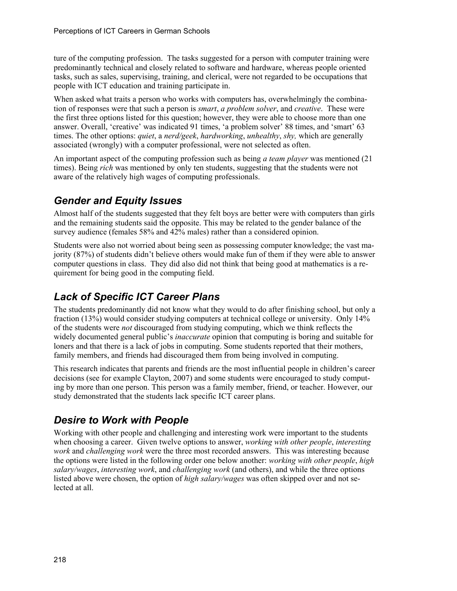ture of the computing profession. The tasks suggested for a person with computer training were predominantly technical and closely related to software and hardware, whereas people oriented tasks, such as sales, supervising, training, and clerical, were not regarded to be occupations that people with ICT education and training participate in.

When asked what traits a person who works with computers has, overwhelmingly the combination of responses were that such a person is *smart*, *a problem solver*, and *creative*. These were the first three options listed for this question; however, they were able to choose more than one answer. Overall, 'creative' was indicated 91 times, 'a problem solver' 88 times, and 'smart' 63 times. The other options: *quiet*, a *nerd/geek*, *hardworking*, *unhealthy*, *shy,* which are generally associated (wrongly) with a computer professional, were not selected as often.

An important aspect of the computing profession such as being *a team player* was mentioned (21 times). Being *rich* was mentioned by only ten students, suggesting that the students were not aware of the relatively high wages of computing professionals.

### *Gender and Equity Issues*

Almost half of the students suggested that they felt boys are better were with computers than girls and the remaining students said the opposite. This may be related to the gender balance of the survey audience (females 58% and 42% males) rather than a considered opinion.

Students were also not worried about being seen as possessing computer knowledge; the vast majority (87%) of students didn't believe others would make fun of them if they were able to answer computer questions in class. They did also did not think that being good at mathematics is a requirement for being good in the computing field.

### *Lack of Specific ICT Career Plans*

The students predominantly did not know what they would to do after finishing school, but only a fraction (13%) would consider studying computers at technical college or university. Only 14% of the students were *not* discouraged from studying computing, which we think reflects the widely documented general public's *inaccurate* opinion that computing is boring and suitable for loners and that there is a lack of jobs in computing. Some students reported that their mothers, family members, and friends had discouraged them from being involved in computing.

This research indicates that parents and friends are the most influential people in children's career decisions (see for example Clayton, 2007) and some students were encouraged to study computing by more than one person. This person was a family member, friend, or teacher. However, our study demonstrated that the students lack specific ICT career plans.

#### *Desire to Work with People*

Working with other people and challenging and interesting work were important to the students when choosing a career. Given twelve options to answer, *working with other people*, *interesting work* and *challenging work* were the three most recorded answers. This was interesting because the options were listed in the following order one below another: *working with other people*, *high salary/wages*, *interesting work*, and *challenging work* (and others), and while the three options listed above were chosen, the option of *high salary/wages* was often skipped over and not selected at all.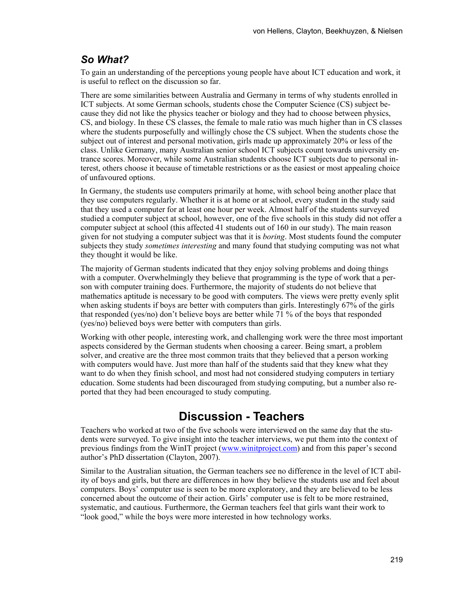#### *So What?*

To gain an understanding of the perceptions young people have about ICT education and work, it is useful to reflect on the discussion so far.

There are some similarities between Australia and Germany in terms of why students enrolled in ICT subjects. At some German schools, students chose the Computer Science (CS) subject because they did not like the physics teacher or biology and they had to choose between physics, CS, and biology. In these CS classes, the female to male ratio was much higher than in CS classes where the students purposefully and willingly chose the CS subject. When the students chose the subject out of interest and personal motivation, girls made up approximately 20% or less of the class. Unlike Germany, many Australian senior school ICT subjects count towards university entrance scores. Moreover, while some Australian students choose ICT subjects due to personal interest, others choose it because of timetable restrictions or as the easiest or most appealing choice of unfavoured options.

In Germany, the students use computers primarily at home, with school being another place that they use computers regularly. Whether it is at home or at school, every student in the study said that they used a computer for at least one hour per week. Almost half of the students surveyed studied a computer subject at school, however, one of the five schools in this study did not offer a computer subject at school (this affected 41 students out of 160 in our study). The main reason given for not studying a computer subject was that it is *boring*. Most students found the computer subjects they study *sometimes interesting* and many found that studying computing was not what they thought it would be like.

The majority of German students indicated that they enjoy solving problems and doing things with a computer. Overwhelmingly they believe that programming is the type of work that a person with computer training does. Furthermore, the majority of students do not believe that mathematics aptitude is necessary to be good with computers. The views were pretty evenly split when asking students if boys are better with computers than girls. Interestingly 67% of the girls that responded (yes/no) don't believe boys are better while 71 % of the boys that responded (yes/no) believed boys were better with computers than girls.

Working with other people, interesting work, and challenging work were the three most important aspects considered by the German students when choosing a career. Being smart, a problem solver, and creative are the three most common traits that they believed that a person working with computers would have. Just more than half of the students said that they knew what they want to do when they finish school, and most had not considered studying computers in tertiary education. Some students had been discouraged from studying computing, but a number also reported that they had been encouraged to study computing.

# **Discussion - Teachers**

Teachers who worked at two of the five schools were interviewed on the same day that the students were surveyed. To give insight into the teacher interviews, we put them into the context of previous findings from the WinIT project ([www.winitproject.com](http://www.winitproject.com/)) and from this paper's second author's PhD dissertation (Clayton, 2007).

Similar to the Australian situation, the German teachers see no difference in the level of ICT ability of boys and girls, but there are differences in how they believe the students use and feel about computers. Boys' computer use is seen to be more exploratory, and they are believed to be less concerned about the outcome of their action. Girls' computer use is felt to be more restrained, systematic, and cautious. Furthermore, the German teachers feel that girls want their work to "look good," while the boys were more interested in how technology works.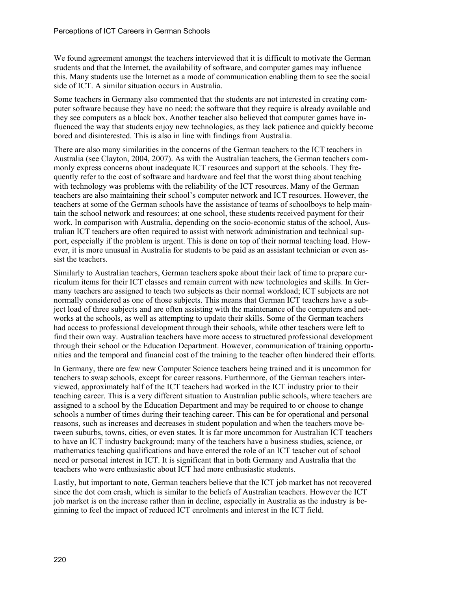We found agreement amongst the teachers interviewed that it is difficult to motivate the German students and that the Internet, the availability of software, and computer games may influence this. Many students use the Internet as a mode of communication enabling them to see the social side of ICT. A similar situation occurs in Australia.

Some teachers in Germany also commented that the students are not interested in creating computer software because they have no need; the software that they require is already available and they see computers as a black box. Another teacher also believed that computer games have influenced the way that students enjoy new technologies, as they lack patience and quickly become bored and disinterested. This is also in line with findings from Australia.

There are also many similarities in the concerns of the German teachers to the ICT teachers in Australia (see Clayton, 2004, 2007). As with the Australian teachers, the German teachers commonly express concerns about inadequate ICT resources and support at the schools. They frequently refer to the cost of software and hardware and feel that the worst thing about teaching with technology was problems with the reliability of the ICT resources. Many of the German teachers are also maintaining their school's computer network and ICT resources. However, the teachers at some of the German schools have the assistance of teams of schoolboys to help maintain the school network and resources; at one school, these students received payment for their work. In comparison with Australia, depending on the socio-economic status of the school, Australian ICT teachers are often required to assist with network administration and technical support, especially if the problem is urgent. This is done on top of their normal teaching load. However, it is more unusual in Australia for students to be paid as an assistant technician or even assist the teachers.

Similarly to Australian teachers, German teachers spoke about their lack of time to prepare curriculum items for their ICT classes and remain current with new technologies and skills. In Germany teachers are assigned to teach two subjects as their normal workload; ICT subjects are not normally considered as one of those subjects. This means that German ICT teachers have a subject load of three subjects and are often assisting with the maintenance of the computers and networks at the schools, as well as attempting to update their skills. Some of the German teachers had access to professional development through their schools, while other teachers were left to find their own way. Australian teachers have more access to structured professional development through their school or the Education Department. However, communication of training opportunities and the temporal and financial cost of the training to the teacher often hindered their efforts.

In Germany, there are few new Computer Science teachers being trained and it is uncommon for teachers to swap schools, except for career reasons. Furthermore, of the German teachers interviewed, approximately half of the ICT teachers had worked in the ICT industry prior to their teaching career. This is a very different situation to Australian public schools, where teachers are assigned to a school by the Education Department and may be required to or choose to change schools a number of times during their teaching career. This can be for operational and personal reasons, such as increases and decreases in student population and when the teachers move between suburbs, towns, cities, or even states. It is far more uncommon for Australian ICT teachers to have an ICT industry background; many of the teachers have a business studies, science, or mathematics teaching qualifications and have entered the role of an ICT teacher out of school need or personal interest in ICT. It is significant that in both Germany and Australia that the teachers who were enthusiastic about ICT had more enthusiastic students.

Lastly, but important to note, German teachers believe that the ICT job market has not recovered since the dot com crash, which is similar to the beliefs of Australian teachers. However the ICT job market is on the increase rather than in decline, especially in Australia as the industry is beginning to feel the impact of reduced ICT enrolments and interest in the ICT field.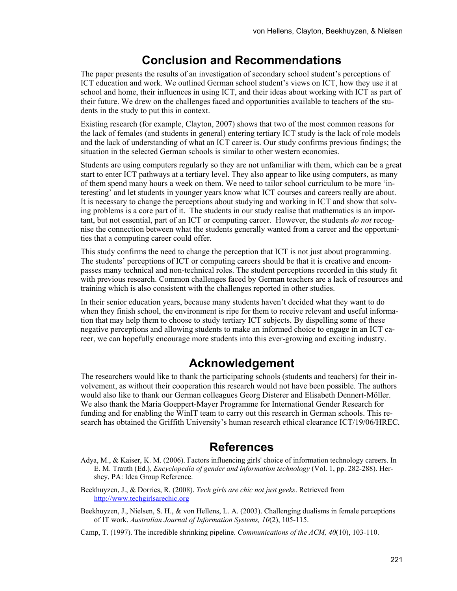### **Conclusion and Recommendations**

The paper presents the results of an investigation of secondary school student's perceptions of ICT education and work. We outlined German school student's views on ICT, how they use it at school and home, their influences in using ICT, and their ideas about working with ICT as part of their future. We drew on the challenges faced and opportunities available to teachers of the students in the study to put this in context.

Existing research (for example, Clayton, 2007) shows that two of the most common reasons for the lack of females (and students in general) entering tertiary ICT study is the lack of role models and the lack of understanding of what an ICT career is. Our study confirms previous findings; the situation in the selected German schools is similar to other western economies.

Students are using computers regularly so they are not unfamiliar with them, which can be a great start to enter ICT pathways at a tertiary level. They also appear to like using computers, as many of them spend many hours a week on them. We need to tailor school curriculum to be more 'interesting' and let students in younger years know what ICT courses and careers really are about. It is necessary to change the perceptions about studying and working in ICT and show that solving problems is a core part of it. The students in our study realise that mathematics is an important, but not essential, part of an ICT or computing career. However, the students *do not* recognise the connection between what the students generally wanted from a career and the opportunities that a computing career could offer.

This study confirms the need to change the perception that ICT is not just about programming. The students' perceptions of ICT or computing careers should be that it is creative and encompasses many technical and non-technical roles. The student perceptions recorded in this study fit with previous research. Common challenges faced by German teachers are a lack of resources and training which is also consistent with the challenges reported in other studies.

In their senior education years, because many students haven't decided what they want to do when they finish school, the environment is ripe for them to receive relevant and useful information that may help them to choose to study tertiary ICT subjects. By dispelling some of these negative perceptions and allowing students to make an informed choice to engage in an ICT career, we can hopefully encourage more students into this ever-growing and exciting industry.

### **Acknowledgement**

The researchers would like to thank the participating schools (students and teachers) for their involvement, as without their cooperation this research would not have been possible. The authors would also like to thank our German colleagues Georg Disterer and Elisabeth Dennert-Möller. We also thank the Maria Goeppert-Mayer Programme for International Gender Research for funding and for enabling the WinIT team to carry out this research in German schools. This research has obtained the Griffith University's human research ethical clearance ICT/19/06/HREC.

### **References**

- Adya, M., & Kaiser, K. M. (2006). Factors influencing girls' choice of information technology careers. In E. M. Trauth (Ed.), *Encyclopedia of gender and information technology* (Vol. 1, pp. 282-288). Hershey, PA: Idea Group Reference.
- Beekhuyzen, J., & Dorries, R. (2008). *Tech girls are chic not just geeks*. Retrieved from [http://www.techgirlsarechic.org](http://www.techgirlsarechic.org/)
- Beekhuyzen, J., Nielsen, S. H., & von Hellens, L. A. (2003). Challenging dualisms in female perceptions of IT work. *Australian Journal of Information Systems, 10*(2), 105-115.

Camp, T. (1997). The incredible shrinking pipeline. *Communications of the ACM, 40*(10), 103-110.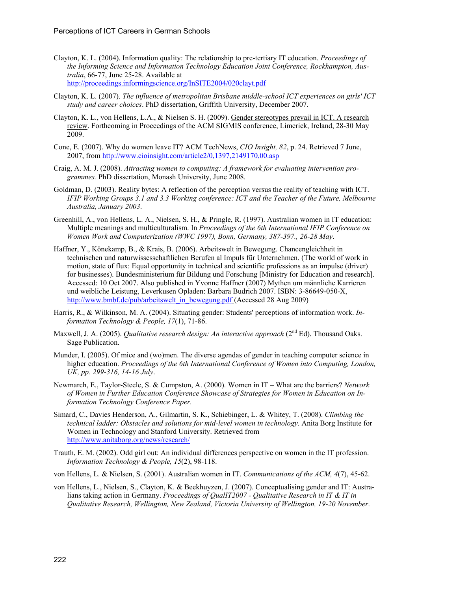- Clayton, K. L. (2004). Information quality: The relationship to pre-tertiary IT education. *Proceedings of the Informing Science and Information Technology Education Joint Conference, Rockhampton, Australia*, 66-77, June 25-28. Available at <http://proceedings.informingscience.org/InSITE2004/020clayt.pdf>
- Clayton, K. L. (2007). *The influence of metropolitan Brisbane middle-school ICT experiences on girls' ICT study and career choices*. PhD dissertation, Griffith University, December 2007.
- Clayton, K. L., von Hellens, L.A., & Nielsen S. H. (2009). Gender stereotypes prevail in ICT. A research review. Forthcoming in Proceedings of the ACM SIGMIS conference, Limerick, Ireland, 28-30 May 2009.
- Cone, E. (2007). Why do women leave IT? ACM TechNews, *CIO Insight, 82*, p. 24. Retrieved 7 June, 2007, from <http://www.cioinsight.com/article2/0,1397,2149170,00.asp>
- Craig, A. M. J. (2008). *Attracting women to computing: A framework for evaluating intervention programmes.* PhD dissertation, Monash University, June 2008.
- Goldman, D. (2003). Reality bytes: A reflection of the perception versus the reality of teaching with ICT. *IFIP Working Groups 3.1 and 3.3 Working conference: ICT and the Teacher of the Future, Melbourne Australia, January 2003*.
- Greenhill, A., von Hellens, L. A., Nielsen, S. H., & Pringle, R. (1997). Australian women in IT education: Multiple meanings and multiculturalism. In *Proceedings of the 6th International IFIP Conference on Women Work and Computerization (WWC 1997), Bonn, Germany, 387-397., 26-28 May*.
- Haffner, Y., Könekamp, B., & Krais, B. (2006). Arbeitswelt in Bewegung. Chancengleichheit in technischen und naturwissesschaftlichen Berufen al Impuls für Unternehmen. (The world of work in motion, state of flux: Equal opportunity in technical and scientific professions as an impulse (driver) for businesses). Bundesministerium für Bildung und Forschung [Ministry for Education and research]. Accessed: 10 Oct 2007. Also published in Yvonne Haffner (2007) Mythen um männliche Karrieren und weibliche Leistung, Leverkusen Opladen: Barbara Budrich 2007. ISBN: 3-86649-050-X, [http://www.bmbf.de/pub/arbeitswelt\\_in\\_bewegung.pdf](http://www.bmbf.de/pub/arbeitswelt_in_bewegung.pdf) (Accessed 28 Aug 2009)
- Harris, R., & Wilkinson, M. A. (2004). Situating gender: Students' perceptions of information work. *Information Technology & People, 17*(1), 71-86.
- Maxwell, J. A. (2005). *Qualitative research design: An interactive approach* (2<sup>nd</sup> Ed). Thousand Oaks. Sage Publication.
- Munder, I. (2005). Of mice and (wo)men. The diverse agendas of gender in teaching computer science in higher education. *Proceedings of the 6th International Conference of Women into Computing, London, UK, pp. 299-316, 14-16 July*.
- Newmarch, E., Taylor-Steele, S. & Cumpston, A. (2000). Women in IT What are the barriers? *Network of Women in Further Education Conference Showcase of Strategies for Women in Education on Information Technology Conference Paper.*
- Simard, C., Davies Henderson, A., Gilmartin, S. K., Schiebinger, L. & Whitey, T. (2008). *Climbing the technical ladder: Obstacles and solutions for mid-level women in technology*. Anita Borg Institute for Women in Technology and Stanford University. Retrieved from <http://www.anitaborg.org/news/research/>
- Trauth, E. M. (2002). Odd girl out: An individual differences perspective on women in the IT profession. *Information Technology & People, 15*(2), 98-118.
- von Hellens, L. & Nielsen, S. (2001). Australian women in IT. *Communications of the ACM, 4*(7), 45-62.
- von Hellens, L., Nielsen, S., Clayton, K. & Beekhuyzen, J. (2007). Conceptualising gender and IT: Australians taking action in Germany. *Proceedings of QualIT2007 - Qualitative Research in IT & IT in Qualitative Research, Wellington, New Zealand, Victoria University of Wellington, 19-20 November*.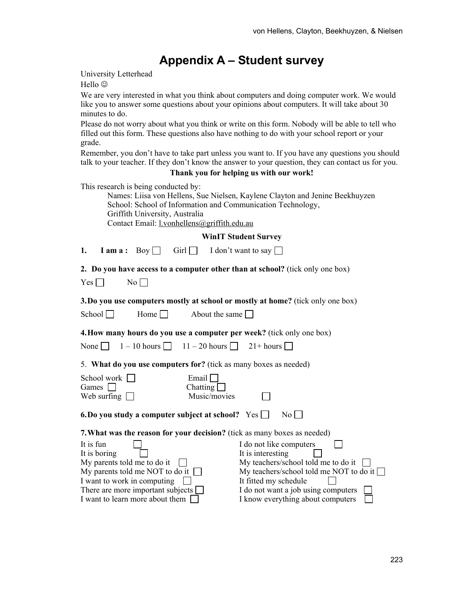# **Appendix A – Student survey**

University Letterhead

Hello  $\odot$ 

We are very interested in what you think about computers and doing computer work. We would like you to answer some questions about your opinions about computers. It will take about 30 minutes to do.

Please do not worry about what you think or write on this form. Nobody will be able to tell who filled out this form. These questions also have nothing to do with your school report or your grade.

Remember, you don't have to take part unless you want to. If you have any questions you should talk to your teacher. If they don't know the answer to your question, they can contact us for you.

#### **Thank you for helping us with our work!**

This research is being conducted by:

| Names: Liisa von Hellens, Sue Nielsen, Kaylene Clayton and Jenine Beekhuyzen |
|------------------------------------------------------------------------------|
| School: School of Information and Communication Technology,                  |
| Griffith University, Australia                                               |
| Contact Email: $l$ .vonhellens@griffith.edu.au                               |

**WinIT Student Survey** 

| 1. |  |  |  | <b>I</b> am a: Boy $\Box$ Girl $\Box$ I don't want to say $\Box$ |
|----|--|--|--|------------------------------------------------------------------|
|----|--|--|--|------------------------------------------------------------------|

**2. Do you have access to a computer other than at school?** (tick only one box)

| Y<br>∽s | Nο |  |
|---------|----|--|
|---------|----|--|

**3.Do you use computers mostly at school or mostly at home?** (tick only one box)

| Home $\Box$<br>School $\square$ | About the same |
|---------------------------------|----------------|
|---------------------------------|----------------|

**4.How many hours do you use a computer per week?** (tick only one box)

| None $\Box$ | $1 - 10$ hours $\Box$ | $11 - 20$ hours $\Box$ | $21+ hours$ |
|-------------|-----------------------|------------------------|-------------|
|-------------|-----------------------|------------------------|-------------|

5. **What do you use computers for?** (tick as many boxes as needed)

| School work    <br>Games<br>Web surfing $\Box$           | Email<br>Chatting  <br>Music/movies                                             |
|----------------------------------------------------------|---------------------------------------------------------------------------------|
| 6. Do you study a computer subject at school? $Yes \Box$ | No                                                                              |
|                                                          | <b>7. What was the reason for your decision?</b> (tick as many boxes as needed) |
| It is fun                                                | I do not like computers                                                         |
| It is boring                                             | It is interesting                                                               |
| My parents told me to do it                              | My teachers/school told me to do it                                             |
| My parents told me NOT to do it $\Box$                   | My teachers/school told me NOT to do it $\Box$                                  |
| I want to work in computing                              | It fitted my schedule                                                           |
| There are more important subjects                        | I do not want a job using computers                                             |
| I want to learn more about them                          | I know everything about computers                                               |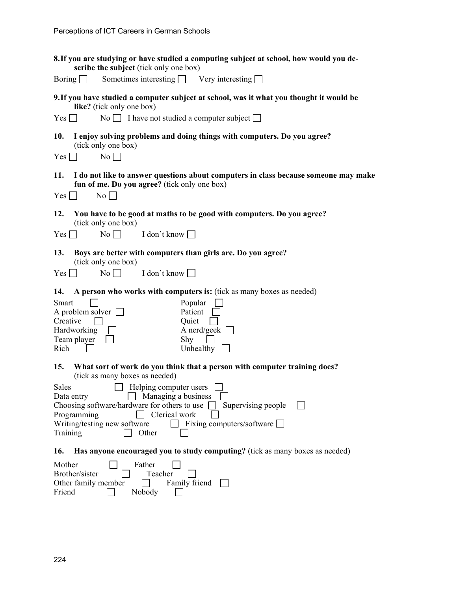| 8. If you are studying or have studied a computing subject at school, how would you de-<br>scribe the subject (tick only one box)                                     |
|-----------------------------------------------------------------------------------------------------------------------------------------------------------------------|
| Sometimes interesting $\Box$ Very interesting $\Box$<br>Boring $\Box$                                                                                                 |
| 9. If you have studied a computer subject at school, was it what you thought it would be<br>like? (tick only one box)                                                 |
| No $\Box$ I have not studied a computer subject $\Box$<br>$Yes \Box$                                                                                                  |
| I enjoy solving problems and doing things with computers. Do you agree?<br>10.<br>(tick only one box)                                                                 |
| $Yes \Box$<br>$\overline{N_0}$                                                                                                                                        |
| 11.<br>I do not like to answer questions about computers in class because someone may make<br>fun of me. Do you agree? (tick only one box)<br>$No \Box$<br>$Yes \Box$ |
| 12.<br>You have to be good at maths to be good with computers. Do you agree?<br>(tick only one box)                                                                   |
| $No \Box$<br>I don't know<br>$Yes \mid$                                                                                                                               |
| 13.<br>Boys are better with computers than girls are. Do you agree?<br>(tick only one box)                                                                            |
| $No \Box$<br>I don't know<br>$Yes \mid \mid$                                                                                                                          |
| 14.<br>A person who works with computers is: (tick as many boxes as needed)                                                                                           |
| Popular<br>Smart                                                                                                                                                      |
| A problem solver $\Box$<br>Patient<br>Creative<br>Quiet                                                                                                               |
| A nerd/geek $\Box$<br>Hardworking                                                                                                                                     |
| Team player<br>Shy                                                                                                                                                    |
| Rich<br>Unhealthy $\Box$                                                                                                                                              |
| 15.<br>What sort of work do you think that a person with computer training does?<br>(tick as many boxes as needed)                                                    |
| $\Box$ Helping computer users $\Box$<br><b>Sales</b>                                                                                                                  |
| $\Box$ Managing a business<br>Data entry                                                                                                                              |
| Choosing software/hardware for others to use<br>Supervising people<br>Programming<br>$\Box$ Clerical work                                                             |
| Writing/testing new software<br>$\Box$ Fixing computers/software $\Box$                                                                                               |
| Training<br>Other                                                                                                                                                     |
| Has anyone encouraged you to study computing? (tick as many boxes as needed)<br>16.                                                                                   |
| Mother<br>Father                                                                                                                                                      |
| Brother/sister<br>Teacher                                                                                                                                             |
| Other family member<br>Family friend<br>Friend<br>Nobody                                                                                                              |
|                                                                                                                                                                       |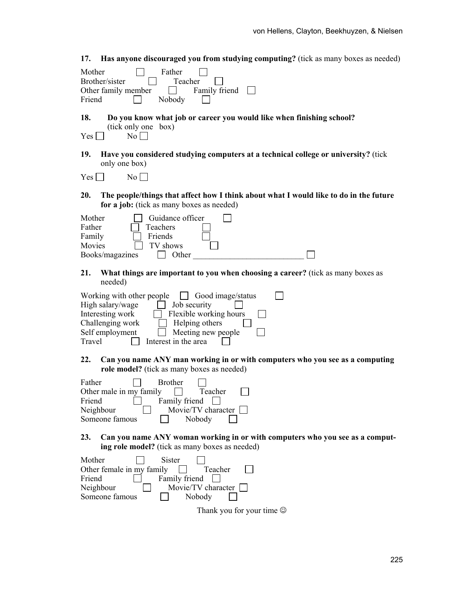| <b>Has anyone discouraged you from studying computing?</b> (tick as many boxes as needed)<br>17.                                                                                                                                                         |
|----------------------------------------------------------------------------------------------------------------------------------------------------------------------------------------------------------------------------------------------------------|
| Father<br>Mother<br>Teacher<br>Brother/sister<br>Family friend<br>Other family member<br>Friend<br>Nobody                                                                                                                                                |
| Do you know what job or career you would like when finishing school?<br>18.<br>(tick only one box)<br>$No \Box$<br>Yes                                                                                                                                   |
| Have you considered studying computers at a technical college or university? (tick<br>19.<br>only one box)                                                                                                                                               |
| No<br>$Yes$ $\Box$                                                                                                                                                                                                                                       |
| 20.<br>The people/things that affect how I think about what I would like to do in the future<br>for a job: (tick as many boxes as needed)                                                                                                                |
| Guidance officer<br>Mother<br>Father<br>Teachers<br>Friends<br>Family<br>Movies<br>TV shows<br>Books/magazines<br>Other                                                                                                                                  |
| What things are important to you when choosing a career? (tick as many boxes as<br>21.<br>needed)                                                                                                                                                        |
| Working with other people<br>$\Box$ Good image/status<br>High salary/wage<br>Job security<br>Flexible working hours<br>Interesting work<br>Challenging work<br>Helping others<br>Self employment<br>Meeting new people<br>Travel<br>Interest in the area |
| Can you name ANY man working in or with computers who you see as a computing<br>22.<br>role model? (tick as many boxes as needed)                                                                                                                        |
| <b>Brother</b><br>Father<br>Other male in my family<br>┍<br>Teacher<br>Family friend<br>Friend<br>Neighbour<br>Movie/TV character<br>Someone famous<br>Nobody                                                                                            |
| 23.<br>Can you name ANY woman working in or with computers who you see as a comput-<br>ing role model? (tick as many boxes as needed)                                                                                                                    |
| <b>Sister</b><br>Mother<br>Other female in my family<br>Teacher<br>Friend<br>Family friend<br>Neighbour<br>Movie/TV character<br>Someone famous<br>Nobody                                                                                                |
| Thank you for your time $\odot$                                                                                                                                                                                                                          |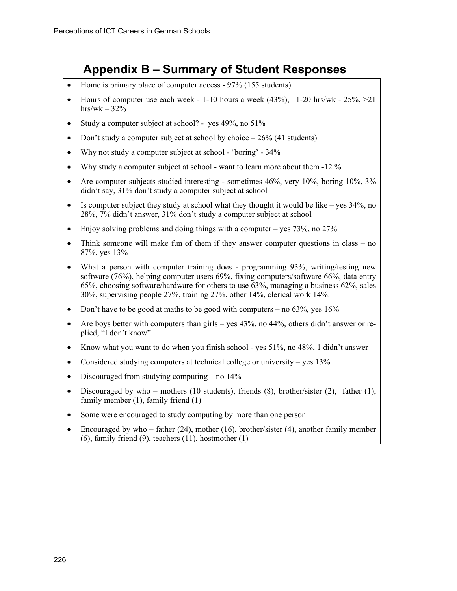# **Appendix B – Summary of Student Responses**

- Home is primary place of computer access 97% (155 students)
- Hours of computer use each week  $-1$ -10 hours a week (43%), 11-20 hrs/wk  $-25\%$ ,  $>21$ hrs/wk  $-32%$
- Study a computer subject at school? yes 49%, no 51%
- Don't study a computer subject at school by choice  $-26\%$  (41 students)
- Why not study a computer subject at school 'boring' 34%
- Why study a computer subject at school want to learn more about them -12 %
- Are computer subjects studied interesting sometimes 46%, very 10%, boring 10%, 3% didn't say, 31% don't study a computer subject at school
- Is computer subject they study at school what they thought it would be like yes 34%, no 28%, 7% didn't answer, 31% don't study a computer subject at school
- Enjoy solving problems and doing things with a computer yes  $73\%$ , no  $27\%$
- Think someone will make fun of them if they answer computer questions in class no 87%, yes 13%
- What a person with computer training does programming 93%, writing/testing new software (76%), helping computer users 69%, fixing computers/software 66%, data entry 65%, choosing software/hardware for others to use 63%, managing a business 62%, sales 30%, supervising people 27%, training 27%, other 14%, clerical work 14%.
- Don't have to be good at maths to be good with computers no  $63\%$ , yes  $16\%$
- Are boys better with computers than girls yes 43%, no 44%, others didn't answer or replied, "I don't know".
- Know what you want to do when you finish school yes  $51\%$ , no  $48\%$ , 1 didn't answer
- Considered studying computers at technical college or university yes 13%
- Discouraged from studying computing no  $14\%$
- Discouraged by who mothers (10 students), friends (8), brother/sister (2), father (1), family member (1), family friend (1)
- Some were encouraged to study computing by more than one person
- Encouraged by who father  $(24)$ , mother  $(16)$ , brother/sister  $(4)$ , another family member (6), family friend (9), teachers (11), hostmother (1)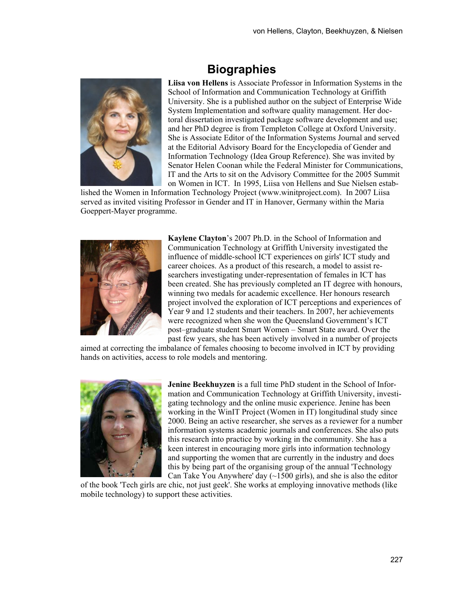# **Biographies**



**Liisa von Hellens** is Associate Professor in Information Systems in the School of Information and Communication Technology at Griffith University. She is a published author on the subject of Enterprise Wide System Implementation and software quality management. Her doctoral dissertation investigated package software development and use; and her PhD degree is from Templeton College at Oxford University. She is Associate Editor of the Information Systems Journal and served at the Editorial Advisory Board for the Encyclopedia of Gender and Information Technology (Idea Group Reference). She was invited by Senator Helen Coonan while the Federal Minister for Communications, IT and the Arts to sit on the Advisory Committee for the 2005 Summit on Women in ICT. In 1995, Liisa von Hellens and Sue Nielsen estab-

lished the Women in Information Technology Project (www.winitproject.com). In 2007 Liisa served as invited visiting Professor in Gender and IT in Hanover, Germany within the Maria Goeppert-Mayer programme.



**Kaylene Clayton**'s 2007 Ph.D. in the School of Information and Communication Technology at Griffith University investigated the influence of middle-school ICT experiences on girls' ICT study and career choices. As a product of this research, a model to assist researchers investigating under-representation of females in ICT has been created. She has previously completed an IT degree with honours, winning two medals for academic excellence. Her honours research project involved the exploration of ICT perceptions and experiences of Year 9 and 12 students and their teachers. In 2007, her achievements were recognized when she won the Queensland Government's ICT post–graduate student Smart Women – Smart State award. Over the past few years, she has been actively involved in a number of projects

aimed at correcting the imbalance of females choosing to become involved in ICT by providing hands on activities, access to role models and mentoring.



**Jenine Beekhuyzen** is a full time PhD student in the School of Information and Communication Technology at Griffith University, investigating technology and the online music experience. Jenine has been working in the WinIT Project (Women in IT) longitudinal study since 2000. Being an active researcher, she serves as a reviewer for a number information systems academic journals and conferences. She also puts this research into practice by working in the community. She has a keen interest in encouraging more girls into information technology and supporting the women that are currently in the industry and does this by being part of the organising group of the annual 'Technology Can Take You Anywhere' day  $(\sim 1500 \text{ girls})$ , and she is also the editor

of the book 'Tech girls are chic, not just geek'. She works at employing innovative methods (like mobile technology) to support these activities.